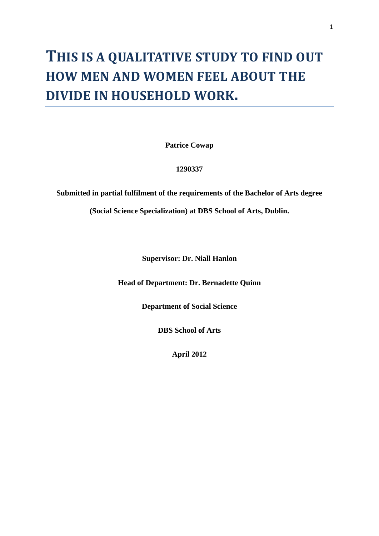# **THIS IS A QUALITATIVE STUDY TO FIND OUT HOW MEN AND WOMEN FEEL ABOUT THE DIVIDE IN HOUSEHOLD WORK.**

**Patrice Cowap**

#### **1290337**

**Submitted in partial fulfilment of the requirements of the Bachelor of Arts degree** 

**(Social Science Specialization) at DBS School of Arts, Dublin.**

**Supervisor: Dr. Niall Hanlon**

**Head of Department: Dr. Bernadette Quinn**

**Department of Social Science**

**DBS School of Arts**

**April 2012**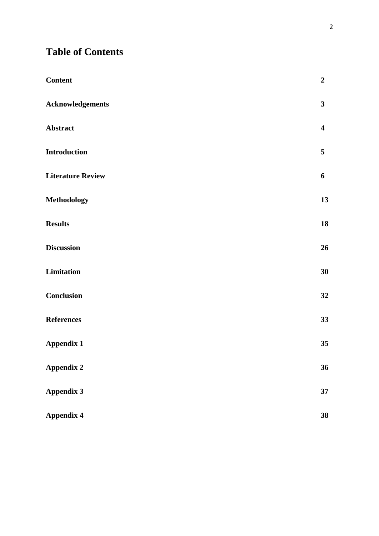## **Table of Contents**

| <b>Content</b>           | $\boldsymbol{2}$        |
|--------------------------|-------------------------|
| Acknowledgements         | $\mathbf{3}$            |
| Abstract                 | $\overline{\mathbf{4}}$ |
| <b>Introduction</b>      | 5                       |
| <b>Literature Review</b> | 6                       |
| Methodology              | 13                      |
| <b>Results</b>           | 18                      |
| <b>Discussion</b>        | 26                      |
| Limitation               | 30                      |
| <b>Conclusion</b>        | 32                      |
| <b>References</b>        | 33                      |
| <b>Appendix 1</b>        | 35                      |
| <b>Appendix 2</b>        | 36                      |
| <b>Appendix 3</b>        | 37                      |
| <b>Appendix 4</b>        | 38                      |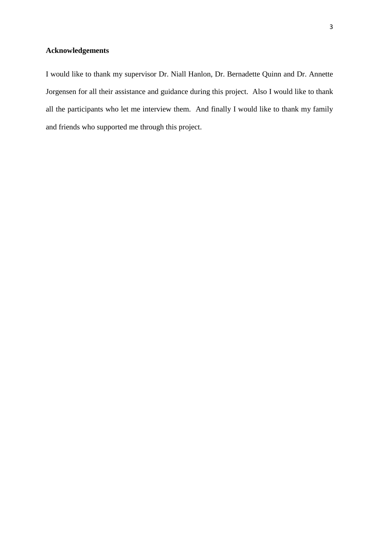### **Acknowledgements**

I would like to thank my supervisor Dr. Niall Hanlon, Dr. Bernadette Quinn and Dr. Annette Jorgensen for all their assistance and guidance during this project. Also I would like to thank all the participants who let me interview them. And finally I would like to thank my family and friends who supported me through this project.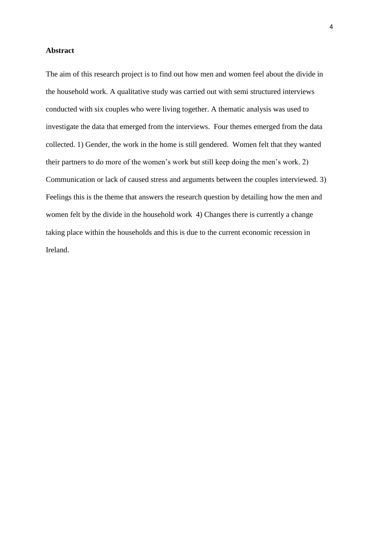#### **Abstract**

The aim of this research project is to find out how men and women feel about the divide in the household work. A qualitative study was carried out with semi structured interviews conducted with six couples who were living together. A thematic analysis was used to investigate the data that emerged from the interviews. Four themes emerged from the data collected. 1) Gender, the work in the home is still gendered. Women felt that they wanted their partners to do more of the women's work but still keep doing the men's work. 2) Communication or lack of caused stress and arguments between the couples interviewed. 3) Feelings this is the theme that answers the research question by detailing how the men and women felt by the divide in the household work 4) Changes there is currently a change taking place within the households and this is due to the current economic recession in Ireland.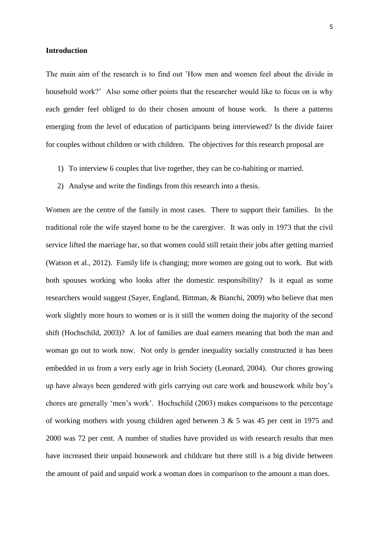#### **Introduction**

The main aim of the research is to find out 'How men and women feel about the divide in household work?' Also some other points that the researcher would like to focus on is why each gender feel obliged to do their chosen amount of house work. Is there a patterns emerging from the level of education of participants being interviewed? Is the divide fairer for couples without children or with children. The objectives for this research proposal are

- 1) To interview 6 couples that live together, they can be co-habiting or married.
- 2) Analyse and write the findings from this research into a thesis.

Women are the centre of the family in most cases. There to support their families. In the traditional role the wife stayed home to be the carergiver. It was only in 1973 that the civil service lifted the marriage bar, so that women could still retain their jobs after getting married (Watson et al., 2012). Family life is changing; more women are going out to work. But with both spouses working who looks after the domestic responsibility? Is it equal as some researchers would suggest (Sayer, England, Bittman, & Bianchi, 2009) who believe that men work slightly more hours to women or is it still the women doing the majority of the second shift (Hochschild, 2003)? A lot of families are dual earners meaning that both the man and woman go out to work now. Not only is gender inequality socially constructed it has been embedded in us from a very early age in Irish Society (Leonard, 2004). Our chores growing up have always been gendered with girls carrying out care work and housework while boy's chores are generally 'men's work'. Hochschild (2003) makes comparisons to the percentage of working mothers with young children aged between 3 & 5 was 45 per cent in 1975 and 2000 was 72 per cent. A number of studies have provided us with research results that men have increased their unpaid housework and childcare but there still is a big divide between the amount of paid and unpaid work a woman does in comparison to the amount a man does.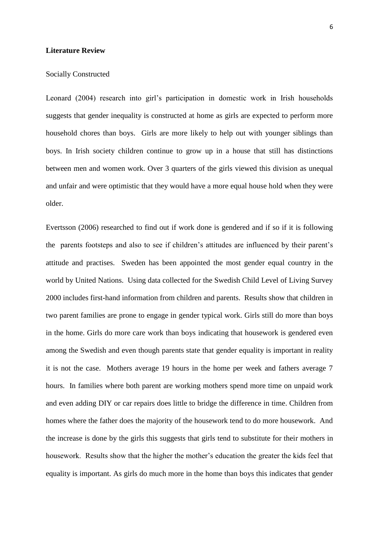#### **Literature Review**

#### Socially Constructed

Leonard (2004) research into girl's participation in domestic work in Irish households suggests that gender inequality is constructed at home as girls are expected to perform more household chores than boys. Girls are more likely to help out with younger siblings than boys. In Irish society children continue to grow up in a house that still has distinctions between men and women work. Over 3 quarters of the girls viewed this division as unequal and unfair and were optimistic that they would have a more equal house hold when they were older.

Evertsson (2006) researched to find out if work done is gendered and if so if it is following the parents footsteps and also to see if children's attitudes are influenced by their parent's attitude and practises. Sweden has been appointed the most gender equal country in the world by United Nations. Using data collected for the Swedish Child Level of Living Survey 2000 includes first-hand information from children and parents. Results show that children in two parent families are prone to engage in gender typical work. Girls still do more than boys in the home. Girls do more care work than boys indicating that housework is gendered even among the Swedish and even though parents state that gender equality is important in reality it is not the case. Mothers average 19 hours in the home per week and fathers average 7 hours. In families where both parent are working mothers spend more time on unpaid work and even adding DIY or car repairs does little to bridge the difference in time. Children from homes where the father does the majority of the housework tend to do more housework. And the increase is done by the girls this suggests that girls tend to substitute for their mothers in housework. Results show that the higher the mother's education the greater the kids feel that equality is important. As girls do much more in the home than boys this indicates that gender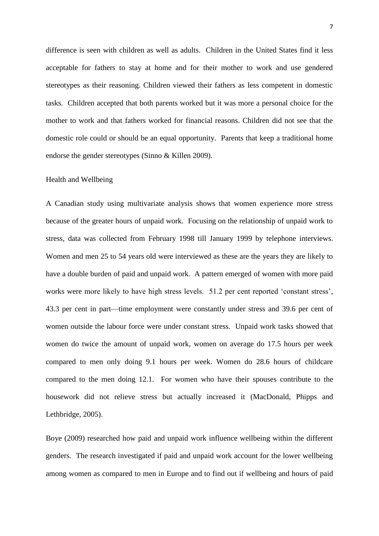difference is seen with children as well as adults. Children in the United States find it less acceptable for fathers to stay at home and for their mother to work and use gendered stereotypes as their reasoning. Children viewed their fathers as less competent in domestic tasks. Children accepted that both parents worked but it was more a personal choice for the mother to work and that fathers worked for financial reasons. Children did not see that the domestic role could or should be an equal opportunity. Parents that keep a traditional home endorse the gender stereotypes (Sinno & Killen 2009).

#### Health and Wellbeing

A Canadian study using multivariate analysis shows that women experience more stress because of the greater hours of unpaid work. Focusing on the relationship of unpaid work to stress, data was collected from February 1998 till January 1999 by telephone interviews. Women and men 25 to 54 years old were interviewed as these are the years they are likely to have a double burden of paid and unpaid work. A pattern emerged of women with more paid works were more likely to have high stress levels. 51.2 per cent reported 'constant stress', 43.3 per cent in part—time employment were constantly under stress and 39.6 per cent of women outside the labour force were under constant stress. Unpaid work tasks showed that women do twice the amount of unpaid work, women on average do 17.5 hours per week compared to men only doing 9.1 hours per week. Women do 28.6 hours of childcare compared to the men doing 12.1. For women who have their spouses contribute to the housework did not relieve stress but actually increased it (MacDonald, Phipps and Lethbridge, 2005).

Boye (2009) researched how paid and unpaid work influence wellbeing within the different genders. The research investigated if paid and unpaid work account for the lower wellbeing among women as compared to men in Europe and to find out if wellbeing and hours of paid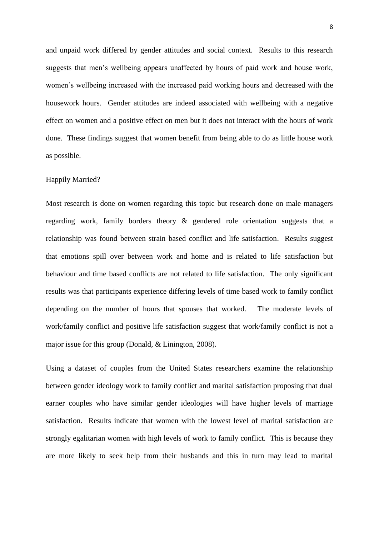and unpaid work differed by gender attitudes and social context. Results to this research suggests that men's wellbeing appears unaffected by hours of paid work and house work, women's wellbeing increased with the increased paid working hours and decreased with the housework hours. Gender attitudes are indeed associated with wellbeing with a negative effect on women and a positive effect on men but it does not interact with the hours of work done. These findings suggest that women benefit from being able to do as little house work as possible.

#### Happily Married?

Most research is done on women regarding this topic but research done on male managers regarding work, family borders theory & gendered role orientation suggests that a relationship was found between strain based conflict and life satisfaction. Results suggest that emotions spill over between work and home and is related to life satisfaction but behaviour and time based conflicts are not related to life satisfaction. The only significant results was that participants experience differing levels of time based work to family conflict depending on the number of hours that spouses that worked. The moderate levels of work/family conflict and positive life satisfaction suggest that work/family conflict is not a major issue for this group (Donald, & Linington, 2008).

Using a dataset of couples from the United States researchers examine the relationship between gender ideology work to family conflict and marital satisfaction proposing that dual earner couples who have similar gender ideologies will have higher levels of marriage satisfaction. Results indicate that women with the lowest level of marital satisfaction are strongly egalitarian women with high levels of work to family conflict. This is because they are more likely to seek help from their husbands and this in turn may lead to marital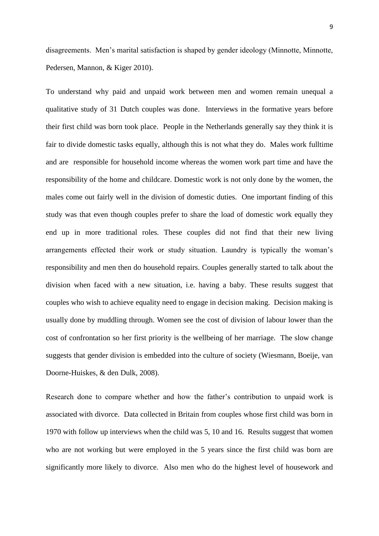disagreements. Men's marital satisfaction is shaped by gender ideology (Minnotte, Minnotte, Pedersen, Mannon, & Kiger 2010).

To understand why paid and unpaid work between men and women remain unequal a qualitative study of 31 Dutch couples was done. Interviews in the formative years before their first child was born took place. People in the Netherlands generally say they think it is fair to divide domestic tasks equally, although this is not what they do. Males work fulltime and are responsible for household income whereas the women work part time and have the responsibility of the home and childcare. Domestic work is not only done by the women, the males come out fairly well in the division of domestic duties. One important finding of this study was that even though couples prefer to share the load of domestic work equally they end up in more traditional roles. These couples did not find that their new living arrangements effected their work or study situation. Laundry is typically the woman's responsibility and men then do household repairs. Couples generally started to talk about the division when faced with a new situation, i.e. having a baby. These results suggest that couples who wish to achieve equality need to engage in decision making. Decision making is usually done by muddling through. Women see the cost of division of labour lower than the cost of confrontation so her first priority is the wellbeing of her marriage. The slow change suggests that gender division is embedded into the culture of society (Wiesmann, Boeije, van Doorne-Huiskes, & den Dulk, 2008).

Research done to compare whether and how the father's contribution to unpaid work is associated with divorce. Data collected in Britain from couples whose first child was born in 1970 with follow up interviews when the child was 5, 10 and 16. Results suggest that women who are not working but were employed in the 5 years since the first child was born are significantly more likely to divorce. Also men who do the highest level of housework and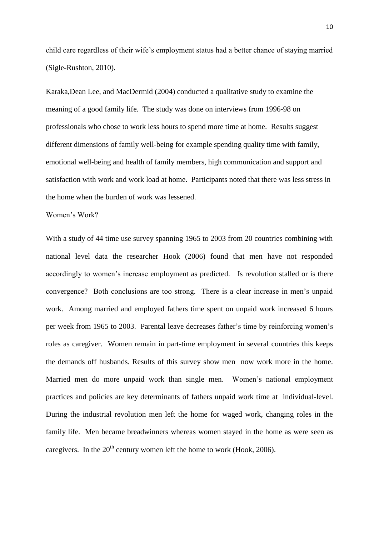child care regardless of their wife's employment status had a better chance of staying married (Sigle-Rushton, 2010).

Karaka,Dean Lee, and MacDermid (2004) conducted a qualitative study to examine the meaning of a good family life. The study was done on interviews from 1996-98 on professionals who chose to work less hours to spend more time at home. Results suggest different dimensions of family well-being for example spending quality time with family, emotional well-being and health of family members, high communication and support and satisfaction with work and work load at home. Participants noted that there was less stress in the home when the burden of work was lessened.

#### Women's Work?

With a study of 44 time use survey spanning 1965 to 2003 from 20 countries combining with national level data the researcher Hook (2006) found that men have not responded accordingly to women's increase employment as predicted. Is revolution stalled or is there convergence? Both conclusions are too strong. There is a clear increase in men's unpaid work. Among married and employed fathers time spent on unpaid work increased 6 hours per week from 1965 to 2003. Parental leave decreases father's time by reinforcing women's roles as caregiver. Women remain in part-time employment in several countries this keeps the demands off husbands. Results of this survey show men now work more in the home. Married men do more unpaid work than single men. Women's national employment practices and policies are key determinants of fathers unpaid work time at individual-level. During the industrial revolution men left the home for waged work, changing roles in the family life. Men became breadwinners whereas women stayed in the home as were seen as caregivers. In the  $20<sup>th</sup>$  century women left the home to work (Hook, 2006).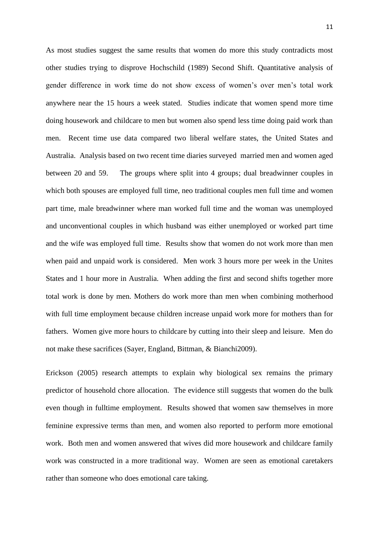As most studies suggest the same results that women do more this study contradicts most other studies trying to disprove Hochschild (1989) Second Shift. Quantitative analysis of gender difference in work time do not show excess of women's over men's total work anywhere near the 15 hours a week stated. Studies indicate that women spend more time doing housework and childcare to men but women also spend less time doing paid work than men. Recent time use data compared two liberal welfare states, the United States and Australia. Analysis based on two recent time diaries surveyed married men and women aged between 20 and 59. The groups where split into 4 groups; dual breadwinner couples in which both spouses are employed full time, neo traditional couples men full time and women part time, male breadwinner where man worked full time and the woman was unemployed and unconventional couples in which husband was either unemployed or worked part time and the wife was employed full time. Results show that women do not work more than men when paid and unpaid work is considered. Men work 3 hours more per week in the Unites States and 1 hour more in Australia. When adding the first and second shifts together more total work is done by men. Mothers do work more than men when combining motherhood with full time employment because children increase unpaid work more for mothers than for fathers. Women give more hours to childcare by cutting into their sleep and leisure. Men do not make these sacrifices (Sayer, England, Bittman, & Bianchi2009).

Erickson (2005) research attempts to explain why biological sex remains the primary predictor of household chore allocation. The evidence still suggests that women do the bulk even though in fulltime employment. Results showed that women saw themselves in more feminine expressive terms than men, and women also reported to perform more emotional work. Both men and women answered that wives did more housework and childcare family work was constructed in a more traditional way. Women are seen as emotional caretakers rather than someone who does emotional care taking.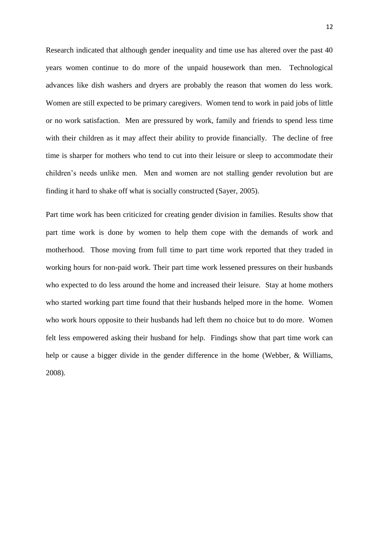Research indicated that although gender inequality and time use has altered over the past 40 years women continue to do more of the unpaid housework than men. Technological advances like dish washers and dryers are probably the reason that women do less work. Women are still expected to be primary caregivers. Women tend to work in paid jobs of little or no work satisfaction. Men are pressured by work, family and friends to spend less time with their children as it may affect their ability to provide financially. The decline of free time is sharper for mothers who tend to cut into their leisure or sleep to accommodate their children's needs unlike men. Men and women are not stalling gender revolution but are finding it hard to shake off what is socially constructed (Sayer, 2005).

Part time work has been criticized for creating gender division in families. Results show that part time work is done by women to help them cope with the demands of work and motherhood. Those moving from full time to part time work reported that they traded in working hours for non-paid work. Their part time work lessened pressures on their husbands who expected to do less around the home and increased their leisure. Stay at home mothers who started working part time found that their husbands helped more in the home. Women who work hours opposite to their husbands had left them no choice but to do more. Women felt less empowered asking their husband for help. Findings show that part time work can help or cause a bigger divide in the gender difference in the home (Webber, & Williams, 2008).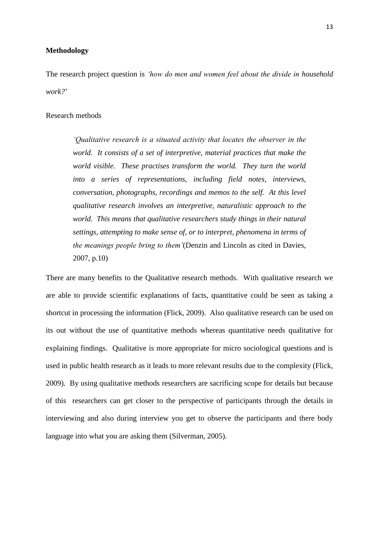#### **Methodology**

The research project question is *'how do men and women feel about the divide in household work?*'

#### Research methods

*'Qualitative research is a situated activity that locates the observer in the world. It consists of a set of interpretive, material practices that make the world visible. These practises transform the world. They turn the world into a series of representations, including field notes, interviews, conversation, photographs, recordings and memos to the self. At this level qualitative research involves an interpretive, naturalistic approach to the world. This means that qualitative researchers study things in their natural settings, attempting to make sense of, or to interpret, phenomena in terms of the meanings people bring to them'*(Denzin and Lincoln as cited in Davies, 2007, p.10)

There are many benefits to the Qualitative research methods. With qualitative research we are able to provide scientific explanations of facts, quantitative could be seen as taking a shortcut in processing the information (Flick, 2009). Also qualitative research can be used on its out without the use of quantitative methods whereas quantitative needs qualitative for explaining findings. Qualitative is more appropriate for micro sociological questions and is used in public health research as it leads to more relevant results due to the complexity (Flick, 2009). By using qualitative methods researchers are sacrificing scope for details but because of this researchers can get closer to the perspective of participants through the details in interviewing and also during interview you get to observe the participants and there body language into what you are asking them (Silverman, 2005).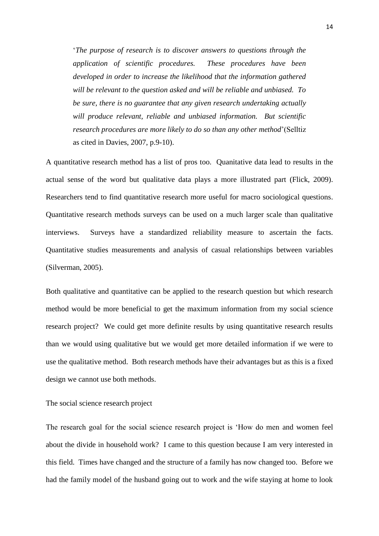'*The purpose of research is to discover answers to questions through the application of scientific procedures. These procedures have been developed in order to increase the likelihood that the information gathered will be relevant to the question asked and will be reliable and unbiased. To be sure, there is no guarantee that any given research undertaking actually will produce relevant, reliable and unbiased information. But scientific research procedures are more likely to do so than any other method*'(Selltiz as cited in Davies, 2007, p.9-10).

A quantitative research method has a list of pros too. Quanitative data lead to results in the actual sense of the word but qualitative data plays a more illustrated part (Flick, 2009). Researchers tend to find quantitative research more useful for macro sociological questions. Quantitative research methods surveys can be used on a much larger scale than qualitative interviews. Surveys have a standardized reliability measure to ascertain the facts. Quantitative studies measurements and analysis of casual relationships between variables (Silverman, 2005).

Both qualitative and quantitative can be applied to the research question but which research method would be more beneficial to get the maximum information from my social science research project? We could get more definite results by using quantitative research results than we would using qualitative but we would get more detailed information if we were to use the qualitative method. Both research methods have their advantages but as this is a fixed design we cannot use both methods.

The social science research project

The research goal for the social science research project is 'How do men and women feel about the divide in household work? I came to this question because I am very interested in this field. Times have changed and the structure of a family has now changed too. Before we had the family model of the husband going out to work and the wife staying at home to look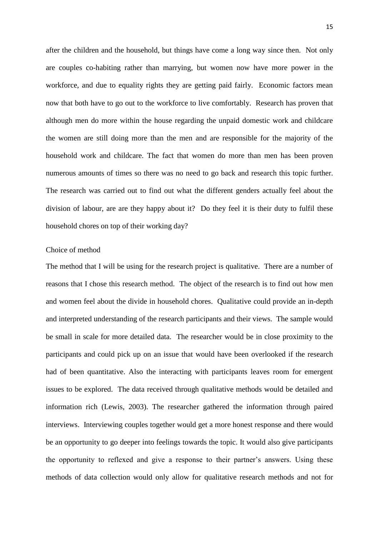after the children and the household, but things have come a long way since then. Not only are couples co-habiting rather than marrying, but women now have more power in the workforce, and due to equality rights they are getting paid fairly. Economic factors mean now that both have to go out to the workforce to live comfortably. Research has proven that although men do more within the house regarding the unpaid domestic work and childcare the women are still doing more than the men and are responsible for the majority of the household work and childcare. The fact that women do more than men has been proven numerous amounts of times so there was no need to go back and research this topic further. The research was carried out to find out what the different genders actually feel about the division of labour, are are they happy about it? Do they feel it is their duty to fulfil these household chores on top of their working day?

#### Choice of method

The method that I will be using for the research project is qualitative. There are a number of reasons that I chose this research method. The object of the research is to find out how men and women feel about the divide in household chores. Qualitative could provide an in-depth and interpreted understanding of the research participants and their views. The sample would be small in scale for more detailed data. The researcher would be in close proximity to the participants and could pick up on an issue that would have been overlooked if the research had of been quantitative. Also the interacting with participants leaves room for emergent issues to be explored. The data received through qualitative methods would be detailed and information rich (Lewis, 2003). The researcher gathered the information through paired interviews. Interviewing couples together would get a more honest response and there would be an opportunity to go deeper into feelings towards the topic. It would also give participants the opportunity to reflexed and give a response to their partner's answers. Using these methods of data collection would only allow for qualitative research methods and not for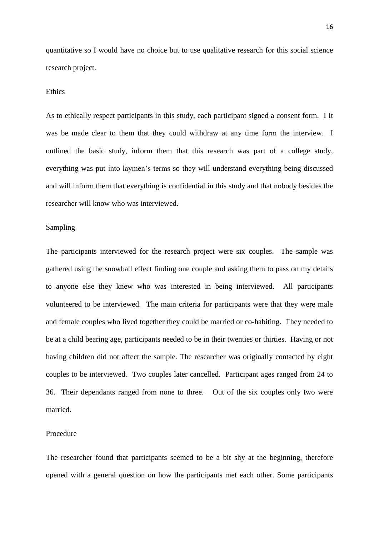quantitative so I would have no choice but to use qualitative research for this social science research project.

#### Ethics

As to ethically respect participants in this study, each participant signed a consent form. I It was be made clear to them that they could withdraw at any time form the interview. I outlined the basic study, inform them that this research was part of a college study, everything was put into laymen's terms so they will understand everything being discussed and will inform them that everything is confidential in this study and that nobody besides the researcher will know who was interviewed.

#### Sampling

The participants interviewed for the research project were six couples. The sample was gathered using the snowball effect finding one couple and asking them to pass on my details to anyone else they knew who was interested in being interviewed. All participants volunteered to be interviewed. The main criteria for participants were that they were male and female couples who lived together they could be married or co-habiting. They needed to be at a child bearing age, participants needed to be in their twenties or thirties. Having or not having children did not affect the sample. The researcher was originally contacted by eight couples to be interviewed. Two couples later cancelled. Participant ages ranged from 24 to 36. Their dependants ranged from none to three. Out of the six couples only two were married.

#### Procedure

The researcher found that participants seemed to be a bit shy at the beginning, therefore opened with a general question on how the participants met each other. Some participants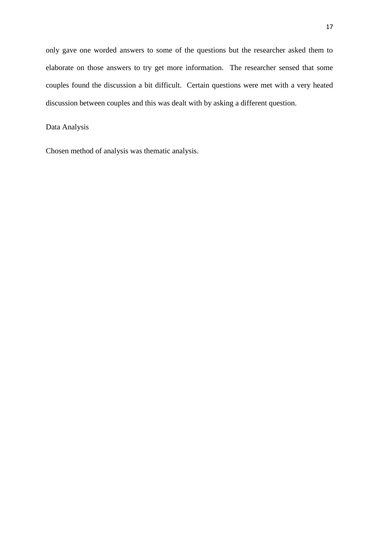only gave one worded answers to some of the questions but the researcher asked them to elaborate on those answers to try get more information. The researcher sensed that some couples found the discussion a bit difficult. Certain questions were met with a very heated discussion between couples and this was dealt with by asking a different question.

#### Data Analysis

Chosen method of analysis was thematic analysis.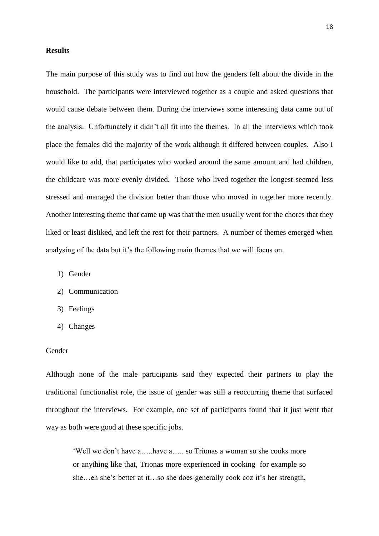#### **Results**

The main purpose of this study was to find out how the genders felt about the divide in the household. The participants were interviewed together as a couple and asked questions that would cause debate between them. During the interviews some interesting data came out of the analysis. Unfortunately it didn't all fit into the themes. In all the interviews which took place the females did the majority of the work although it differed between couples. Also I would like to add, that participates who worked around the same amount and had children, the childcare was more evenly divided. Those who lived together the longest seemed less stressed and managed the division better than those who moved in together more recently. Another interesting theme that came up was that the men usually went for the chores that they liked or least disliked, and left the rest for their partners. A number of themes emerged when analysing of the data but it's the following main themes that we will focus on.

- 1) Gender
- 2) Communication
- 3) Feelings
- 4) Changes

#### **Gender**

Although none of the male participants said they expected their partners to play the traditional functionalist role, the issue of gender was still a reoccurring theme that surfaced throughout the interviews. For example, one set of participants found that it just went that way as both were good at these specific jobs.

'Well we don't have a…..have a….. so Trionas a woman so she cooks more or anything like that, Trionas more experienced in cooking for example so she…eh she's better at it…so she does generally cook coz it's her strength,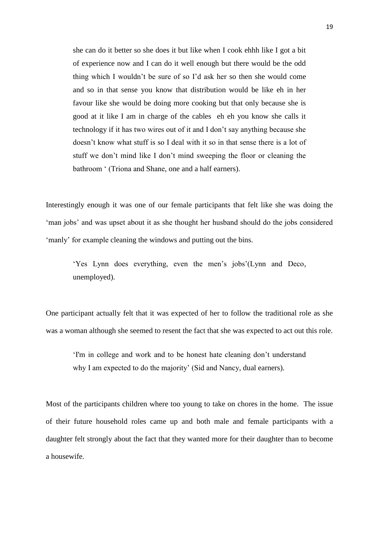she can do it better so she does it but like when I cook ehhh like I got a bit of experience now and I can do it well enough but there would be the odd thing which I wouldn't be sure of so I'd ask her so then she would come and so in that sense you know that distribution would be like eh in her favour like she would be doing more cooking but that only because she is good at it like I am in charge of the cables eh eh you know she calls it technology if it has two wires out of it and I don't say anything because she doesn't know what stuff is so I deal with it so in that sense there is a lot of stuff we don't mind like I don't mind sweeping the floor or cleaning the bathroom ' (Triona and Shane, one and a half earners).

Interestingly enough it was one of our female participants that felt like she was doing the 'man jobs' and was upset about it as she thought her husband should do the jobs considered 'manly' for example cleaning the windows and putting out the bins.

'Yes Lynn does everything, even the men's jobs'(Lynn and Deco, unemployed).

One participant actually felt that it was expected of her to follow the traditional role as she was a woman although she seemed to resent the fact that she was expected to act out this role.

'I'm in college and work and to be honest hate cleaning don't understand why I am expected to do the majority' (Sid and Nancy, dual earners).

Most of the participants children where too young to take on chores in the home. The issue of their future household roles came up and both male and female participants with a daughter felt strongly about the fact that they wanted more for their daughter than to become a housewife.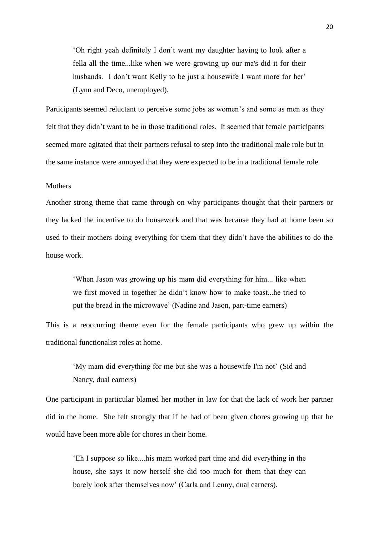'Oh right yeah definitely I don't want my daughter having to look after a fella all the time...like when we were growing up our ma's did it for their husbands. I don't want Kelly to be just a housewife I want more for her' (Lynn and Deco, unemployed).

Participants seemed reluctant to perceive some jobs as women's and some as men as they felt that they didn't want to be in those traditional roles. It seemed that female participants seemed more agitated that their partners refusal to step into the traditional male role but in the same instance were annoyed that they were expected to be in a traditional female role.

#### **Mothers**

Another strong theme that came through on why participants thought that their partners or they lacked the incentive to do housework and that was because they had at home been so used to their mothers doing everything for them that they didn't have the abilities to do the house work.

'When Jason was growing up his mam did everything for him... like when we first moved in together he didn't know how to make toast...he tried to put the bread in the microwave' (Nadine and Jason, part-time earners)

This is a reoccurring theme even for the female participants who grew up within the traditional functionalist roles at home.

'My mam did everything for me but she was a housewife I'm not' (Sid and Nancy, dual earners)

One participant in particular blamed her mother in law for that the lack of work her partner did in the home. She felt strongly that if he had of been given chores growing up that he would have been more able for chores in their home.

'Eh I suppose so like....his mam worked part time and did everything in the house, she says it now herself she did too much for them that they can barely look after themselves now' (Carla and Lenny, dual earners).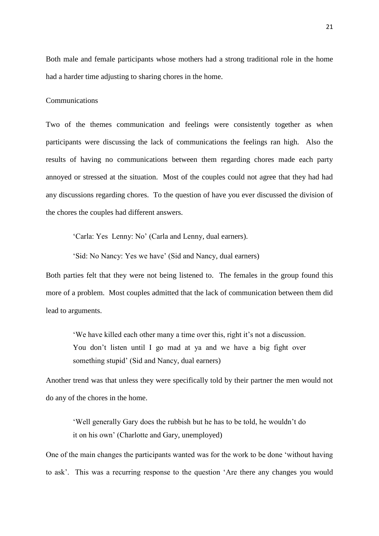Both male and female participants whose mothers had a strong traditional role in the home had a harder time adjusting to sharing chores in the home.

#### Communications

Two of the themes communication and feelings were consistently together as when participants were discussing the lack of communications the feelings ran high. Also the results of having no communications between them regarding chores made each party annoyed or stressed at the situation. Most of the couples could not agree that they had had any discussions regarding chores. To the question of have you ever discussed the division of the chores the couples had different answers.

'Carla: Yes Lenny: No' (Carla and Lenny, dual earners).

'Sid: No Nancy: Yes we have' (Sid and Nancy, dual earners)

Both parties felt that they were not being listened to. The females in the group found this more of a problem. Most couples admitted that the lack of communication between them did lead to arguments.

'We have killed each other many a time over this, right it's not a discussion. You don't listen until I go mad at ya and we have a big fight over something stupid' (Sid and Nancy, dual earners)

Another trend was that unless they were specifically told by their partner the men would not do any of the chores in the home.

'Well generally Gary does the rubbish but he has to be told, he wouldn't do it on his own' (Charlotte and Gary, unemployed)

One of the main changes the participants wanted was for the work to be done 'without having to ask'. This was a recurring response to the question 'Are there any changes you would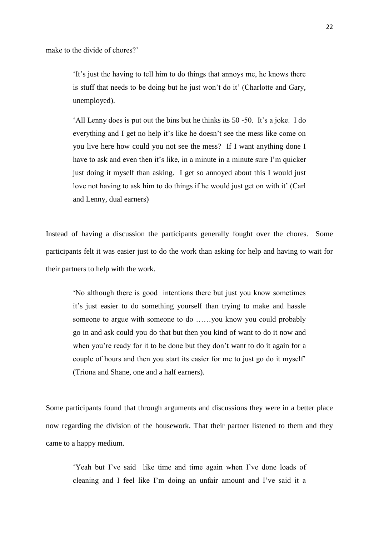make to the divide of chores?'

'It's just the having to tell him to do things that annoys me, he knows there is stuff that needs to be doing but he just won't do it' (Charlotte and Gary, unemployed).

'All Lenny does is put out the bins but he thinks its 50 -50. It's a joke. I do everything and I get no help it's like he doesn't see the mess like come on you live here how could you not see the mess? If I want anything done I have to ask and even then it's like, in a minute in a minute sure I'm quicker just doing it myself than asking. I get so annoyed about this I would just love not having to ask him to do things if he would just get on with it' (Carl and Lenny, dual earners)

Instead of having a discussion the participants generally fought over the chores. Some participants felt it was easier just to do the work than asking for help and having to wait for their partners to help with the work.

'No although there is good intentions there but just you know sometimes it's just easier to do something yourself than trying to make and hassle someone to argue with someone to do ……you know you could probably go in and ask could you do that but then you kind of want to do it now and when you're ready for it to be done but they don't want to do it again for a couple of hours and then you start its easier for me to just go do it myself' (Triona and Shane, one and a half earners).

Some participants found that through arguments and discussions they were in a better place now regarding the division of the housework. That their partner listened to them and they came to a happy medium.

'Yeah but I've said like time and time again when I've done loads of cleaning and I feel like I'm doing an unfair amount and I've said it a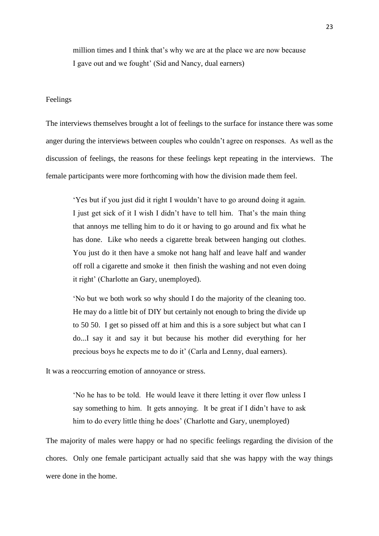million times and I think that's why we are at the place we are now because I gave out and we fought' (Sid and Nancy, dual earners)

#### Feelings

The interviews themselves brought a lot of feelings to the surface for instance there was some anger during the interviews between couples who couldn't agree on responses. As well as the discussion of feelings, the reasons for these feelings kept repeating in the interviews. The female participants were more forthcoming with how the division made them feel.

'Yes but if you just did it right I wouldn't have to go around doing it again. I just get sick of it I wish I didn't have to tell him. That's the main thing that annoys me telling him to do it or having to go around and fix what he has done. Like who needs a cigarette break between hanging out clothes. You just do it then have a smoke not hang half and leave half and wander off roll a cigarette and smoke it then finish the washing and not even doing it right' (Charlotte an Gary, unemployed).

'No but we both work so why should I do the majority of the cleaning too. He may do a little bit of DIY but certainly not enough to bring the divide up to 50 50. I get so pissed off at him and this is a sore subject but what can I do...I say it and say it but because his mother did everything for her precious boys he expects me to do it' (Carla and Lenny, dual earners).

It was a reoccurring emotion of annoyance or stress.

'No he has to be told. He would leave it there letting it over flow unless I say something to him. It gets annoying. It be great if I didn't have to ask him to do every little thing he does' (Charlotte and Gary, unemployed)

The majority of males were happy or had no specific feelings regarding the division of the chores. Only one female participant actually said that she was happy with the way things were done in the home.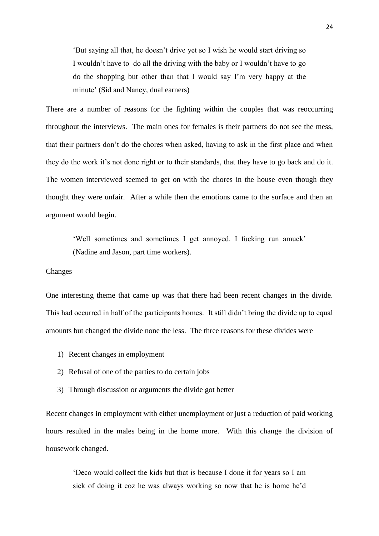'But saying all that, he doesn't drive yet so I wish he would start driving so I wouldn't have to do all the driving with the baby or I wouldn't have to go do the shopping but other than that I would say I'm very happy at the minute' (Sid and Nancy, dual earners)

There are a number of reasons for the fighting within the couples that was reoccurring throughout the interviews. The main ones for females is their partners do not see the mess, that their partners don't do the chores when asked, having to ask in the first place and when they do the work it's not done right or to their standards, that they have to go back and do it. The women interviewed seemed to get on with the chores in the house even though they thought they were unfair. After a while then the emotions came to the surface and then an argument would begin.

'Well sometimes and sometimes I get annoyed. I fucking run amuck' (Nadine and Jason, part time workers).

#### Changes

One interesting theme that came up was that there had been recent changes in the divide. This had occurred in half of the participants homes. It still didn't bring the divide up to equal amounts but changed the divide none the less. The three reasons for these divides were

- 1) Recent changes in employment
- 2) Refusal of one of the parties to do certain jobs
- 3) Through discussion or arguments the divide got better

Recent changes in employment with either unemployment or just a reduction of paid working hours resulted in the males being in the home more. With this change the division of housework changed.

'Deco would collect the kids but that is because I done it for years so I am sick of doing it coz he was always working so now that he is home he'd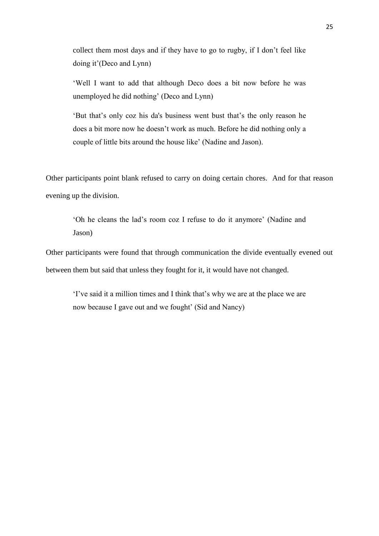collect them most days and if they have to go to rugby, if I don't feel like doing it'(Deco and Lynn)

'Well I want to add that although Deco does a bit now before he was unemployed he did nothing' (Deco and Lynn)

'But that's only coz his da's business went bust that's the only reason he does a bit more now he doesn't work as much. Before he did nothing only a couple of little bits around the house like' (Nadine and Jason).

Other participants point blank refused to carry on doing certain chores. And for that reason evening up the division.

'Oh he cleans the lad's room coz I refuse to do it anymore' (Nadine and Jason)

Other participants were found that through communication the divide eventually evened out between them but said that unless they fought for it, it would have not changed.

'I've said it a million times and I think that's why we are at the place we are now because I gave out and we fought' (Sid and Nancy)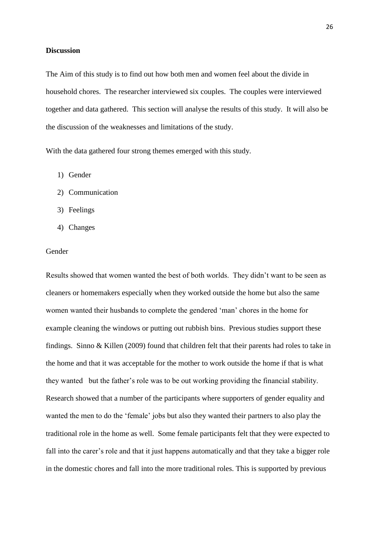#### **Discussion**

The Aim of this study is to find out how both men and women feel about the divide in household chores. The researcher interviewed six couples. The couples were interviewed together and data gathered. This section will analyse the results of this study. It will also be the discussion of the weaknesses and limitations of the study.

With the data gathered four strong themes emerged with this study.

- 1) Gender
- 2) Communication
- 3) Feelings
- 4) Changes

#### Gender

Results showed that women wanted the best of both worlds. They didn't want to be seen as cleaners or homemakers especially when they worked outside the home but also the same women wanted their husbands to complete the gendered 'man' chores in the home for example cleaning the windows or putting out rubbish bins. Previous studies support these findings. Sinno & Killen (2009) found that children felt that their parents had roles to take in the home and that it was acceptable for the mother to work outside the home if that is what they wanted but the father's role was to be out working providing the financial stability. Research showed that a number of the participants where supporters of gender equality and wanted the men to do the 'female' jobs but also they wanted their partners to also play the traditional role in the home as well. Some female participants felt that they were expected to fall into the carer's role and that it just happens automatically and that they take a bigger role in the domestic chores and fall into the more traditional roles. This is supported by previous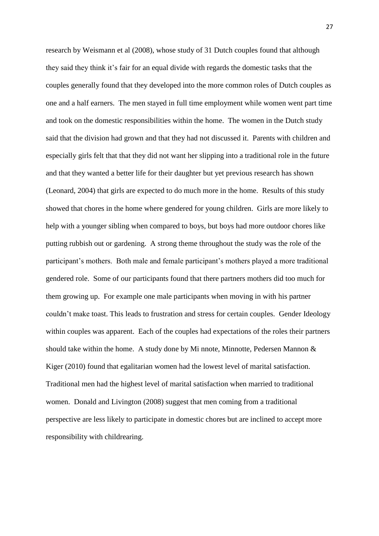research by Weismann et al (2008), whose study of 31 Dutch couples found that although they said they think it's fair for an equal divide with regards the domestic tasks that the couples generally found that they developed into the more common roles of Dutch couples as one and a half earners. The men stayed in full time employment while women went part time and took on the domestic responsibilities within the home. The women in the Dutch study said that the division had grown and that they had not discussed it. Parents with children and especially girls felt that that they did not want her slipping into a traditional role in the future and that they wanted a better life for their daughter but yet previous research has shown (Leonard, 2004) that girls are expected to do much more in the home. Results of this study showed that chores in the home where gendered for young children. Girls are more likely to help with a younger sibling when compared to boys, but boys had more outdoor chores like putting rubbish out or gardening. A strong theme throughout the study was the role of the participant's mothers. Both male and female participant's mothers played a more traditional gendered role. Some of our participants found that there partners mothers did too much for them growing up. For example one male participants when moving in with his partner couldn't make toast. This leads to frustration and stress for certain couples. Gender Ideology within couples was apparent. Each of the couples had expectations of the roles their partners should take within the home. A study done by Mi nnote, Minnotte, Pedersen Mannon & Kiger (2010) found that egalitarian women had the lowest level of marital satisfaction. Traditional men had the highest level of marital satisfaction when married to traditional women. Donald and Livington (2008) suggest that men coming from a traditional perspective are less likely to participate in domestic chores but are inclined to accept more responsibility with childrearing.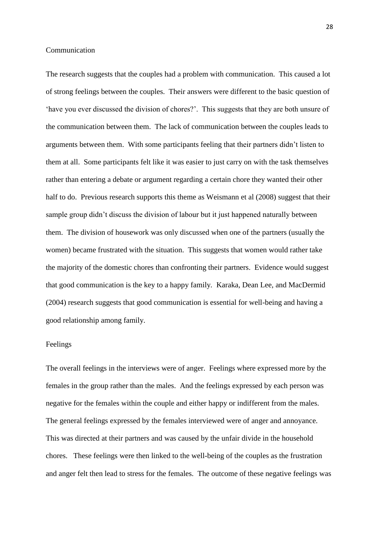#### **Communication**

The research suggests that the couples had a problem with communication. This caused a lot of strong feelings between the couples. Their answers were different to the basic question of 'have you ever discussed the division of chores?'. This suggests that they are both unsure of the communication between them. The lack of communication between the couples leads to arguments between them. With some participants feeling that their partners didn't listen to them at all. Some participants felt like it was easier to just carry on with the task themselves rather than entering a debate or argument regarding a certain chore they wanted their other half to do. Previous research supports this theme as Weismann et al (2008) suggest that their sample group didn't discuss the division of labour but it just happened naturally between them. The division of housework was only discussed when one of the partners (usually the women) became frustrated with the situation. This suggests that women would rather take the majority of the domestic chores than confronting their partners. Evidence would suggest that good communication is the key to a happy family. Karaka, Dean Lee, and MacDermid (2004) research suggests that good communication is essential for well-being and having a good relationship among family.

#### Feelings

The overall feelings in the interviews were of anger. Feelings where expressed more by the females in the group rather than the males. And the feelings expressed by each person was negative for the females within the couple and either happy or indifferent from the males. The general feelings expressed by the females interviewed were of anger and annoyance. This was directed at their partners and was caused by the unfair divide in the household chores. These feelings were then linked to the well-being of the couples as the frustration and anger felt then lead to stress for the females. The outcome of these negative feelings was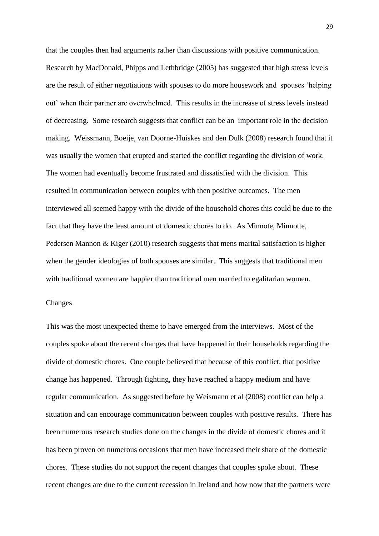that the couples then had arguments rather than discussions with positive communication. Research by MacDonald, Phipps and Lethbridge (2005) has suggested that high stress levels are the result of either negotiations with spouses to do more housework and spouses 'helping out' when their partner are overwhelmed. This results in the increase of stress levels instead of decreasing. Some research suggests that conflict can be an important role in the decision making. Weissmann, Boeije, van Doorne-Huiskes and den Dulk (2008) research found that it was usually the women that erupted and started the conflict regarding the division of work. The women had eventually become frustrated and dissatisfied with the division. This resulted in communication between couples with then positive outcomes. The men interviewed all seemed happy with the divide of the household chores this could be due to the fact that they have the least amount of domestic chores to do. As Minnote, Minnotte, Pedersen Mannon & Kiger (2010) research suggests that mens marital satisfaction is higher when the gender ideologies of both spouses are similar. This suggests that traditional men with traditional women are happier than traditional men married to egalitarian women.

#### Changes

This was the most unexpected theme to have emerged from the interviews. Most of the couples spoke about the recent changes that have happened in their households regarding the divide of domestic chores. One couple believed that because of this conflict, that positive change has happened. Through fighting, they have reached a happy medium and have regular communication. As suggested before by Weismann et al (2008) conflict can help a situation and can encourage communication between couples with positive results. There has been numerous research studies done on the changes in the divide of domestic chores and it has been proven on numerous occasions that men have increased their share of the domestic chores. These studies do not support the recent changes that couples spoke about. These recent changes are due to the current recession in Ireland and how now that the partners were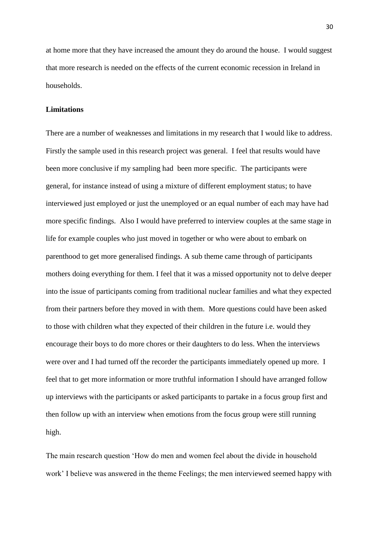at home more that they have increased the amount they do around the house. I would suggest that more research is needed on the effects of the current economic recession in Ireland in households.

#### **Limitations**

There are a number of weaknesses and limitations in my research that I would like to address. Firstly the sample used in this research project was general. I feel that results would have been more conclusive if my sampling had been more specific. The participants were general, for instance instead of using a mixture of different employment status; to have interviewed just employed or just the unemployed or an equal number of each may have had more specific findings. Also I would have preferred to interview couples at the same stage in life for example couples who just moved in together or who were about to embark on parenthood to get more generalised findings. A sub theme came through of participants mothers doing everything for them. I feel that it was a missed opportunity not to delve deeper into the issue of participants coming from traditional nuclear families and what they expected from their partners before they moved in with them. More questions could have been asked to those with children what they expected of their children in the future i.e. would they encourage their boys to do more chores or their daughters to do less. When the interviews were over and I had turned off the recorder the participants immediately opened up more. I feel that to get more information or more truthful information I should have arranged follow up interviews with the participants or asked participants to partake in a focus group first and then follow up with an interview when emotions from the focus group were still running high.

The main research question 'How do men and women feel about the divide in household work' I believe was answered in the theme Feelings; the men interviewed seemed happy with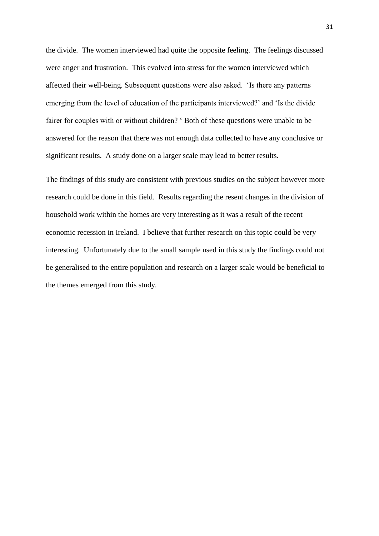the divide. The women interviewed had quite the opposite feeling. The feelings discussed were anger and frustration. This evolved into stress for the women interviewed which affected their well-being. Subsequent questions were also asked. 'Is there any patterns emerging from the level of education of the participants interviewed?' and 'Is the divide fairer for couples with or without children? ' Both of these questions were unable to be answered for the reason that there was not enough data collected to have any conclusive or significant results. A study done on a larger scale may lead to better results.

The findings of this study are consistent with previous studies on the subject however more research could be done in this field. Results regarding the resent changes in the division of household work within the homes are very interesting as it was a result of the recent economic recession in Ireland. I believe that further research on this topic could be very interesting. Unfortunately due to the small sample used in this study the findings could not be generalised to the entire population and research on a larger scale would be beneficial to the themes emerged from this study.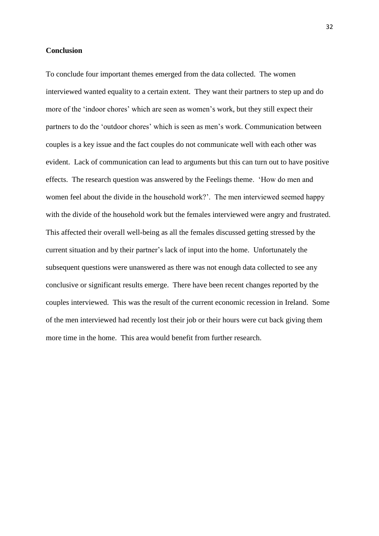#### **Conclusion**

To conclude four important themes emerged from the data collected. The women interviewed wanted equality to a certain extent. They want their partners to step up and do more of the 'indoor chores' which are seen as women's work, but they still expect their partners to do the 'outdoor chores' which is seen as men's work. Communication between couples is a key issue and the fact couples do not communicate well with each other was evident. Lack of communication can lead to arguments but this can turn out to have positive effects. The research question was answered by the Feelings theme. 'How do men and women feel about the divide in the household work?'. The men interviewed seemed happy with the divide of the household work but the females interviewed were angry and frustrated. This affected their overall well-being as all the females discussed getting stressed by the current situation and by their partner's lack of input into the home. Unfortunately the subsequent questions were unanswered as there was not enough data collected to see any conclusive or significant results emerge. There have been recent changes reported by the couples interviewed. This was the result of the current economic recession in Ireland. Some of the men interviewed had recently lost their job or their hours were cut back giving them more time in the home. This area would benefit from further research.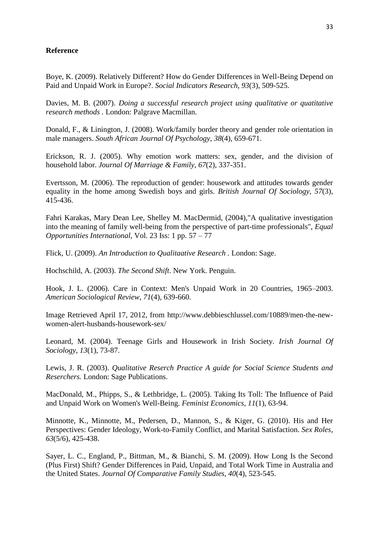#### **Reference**

Boye, K. (2009). Relatively Different? How do Gender Differences in Well-Being Depend on Paid and Unpaid Work in Europe?. *Social Indicators Research*, *93*(3), 509-525.

Davies, M. B. (2007). *Doing a successful research project using qualitative or quatitative research methods .* London: Palgrave Macmillan.

Donald, F., & Linington, J. (2008). Work/family border theory and gender role orientation in male managers. *South African Journal Of Psychology*, *38*(4), 659-671.

Erickson, R. J. (2005). Why emotion work matters: sex, gender, and the division of household labor. *Journal Of Marriage & Family*, *67*(2), 337-351.

Evertsson, M. (2006). The reproduction of gender: housework and attitudes towards gender equality in the home among Swedish boys and girls. *British Journal Of Sociology*, *57*(3), 415-436.

Fahri Karakas, Mary Dean Lee, Shelley M. MacDermid, (2004),"A qualitative investigation into the meaning of family well-being from the perspective of part-time professionals", *Equal Opportunities International*, Vol. 23 Iss: 1 pp. 57 – 77

Flick, U. (2009). *An Introduction to Qualitaative Research .* London: Sage.

Hochschild, A. (2003). *The Second Shift*. New York. Penguin.

Hook, J. L. (2006). Care in Context: Men's Unpaid Work in 20 Countries, 1965–2003. *American Sociological Review*, *71*(4), 639-660.

Image Retrieved April 17, 2012, from http://www.debbieschlussel.com/10889/men-the-newwomen-alert-husbands-housework-sex/

Leonard, M. (2004). Teenage Girls and Housework in Irish Society. *Irish Journal Of Sociology*, *13*(1), 73-87.

Lewis, J. R. (2003). *Qualitative Reserch Practice A guide for Social Science Students and Reserchers.* London: Sage Publications.

MacDonald, M., Phipps, S., & Lethbridge, L. (2005). Taking Its Toll: The Influence of Paid and Unpaid Work on Women's Well-Being. *Feminist Economics*, *11*(1), 63-94.

Minnotte, K., Minnotte, M., Pedersen, D., Mannon, S., & Kiger, G. (2010). His and Her Perspectives: Gender Ideology, Work-to-Family Conflict, and Marital Satisfaction. *Sex Roles*, *63*(5/6), 425-438.

Sayer, L. C., England, P., Bittman, M., & Bianchi, S. M. (2009). How Long Is the Second (Plus First) Shift? Gender Differences in Paid, Unpaid, and Total Work Time in Australia and the United States. *Journal Of Comparative Family Studies*, *40*(4), 523-545.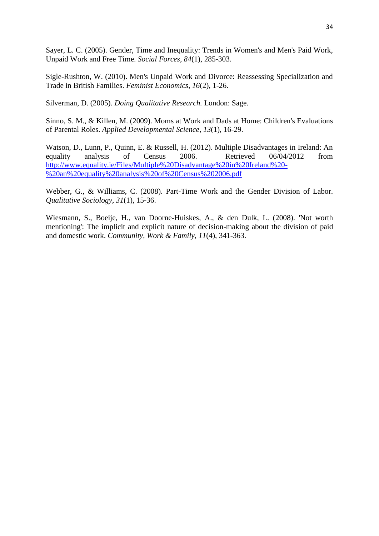Sayer, L. C. (2005). Gender, Time and Inequality: Trends in Women's and Men's Paid Work, Unpaid Work and Free Time. *Social Forces*, *84*(1), 285-303.

Sigle-Rushton, W. (2010). Men's Unpaid Work and Divorce: Reassessing Specialization and Trade in British Families. *Feminist Economics*, *16*(2), 1-26.

Silverman, D. (2005). *Doing Qualitative Research.* London: Sage.

Sinno, S. M., & Killen, M. (2009). Moms at Work and Dads at Home: Children's Evaluations of Parental Roles. *Applied Developmental Science*, *13*(1), 16-29.

Watson, D., Lunn, P., Quinn, E. & Russell, H. (2012). Multiple Disadvantages in Ireland: An equality analysis of Census 2006. Retrieved 06/04/2012 from [http://www.equality.ie/Files/Multiple%20Disadvantage%20in%20Ireland%20-](http://www.equality.ie/Files/Multiple%20Disadvantage%20in%20Ireland%20-%20an%20equality%20analysis%20of%20Census%202006.pdf) [%20an%20equality%20analysis%20of%20Census%202006.pdf](http://www.equality.ie/Files/Multiple%20Disadvantage%20in%20Ireland%20-%20an%20equality%20analysis%20of%20Census%202006.pdf)

Webber, G., & Williams, C. (2008). Part-Time Work and the Gender Division of Labor. *Qualitative Sociology*, *31*(1), 15-36.

Wiesmann, S., Boeije, H., van Doorne-Huiskes, A., & den Dulk, L. (2008). 'Not worth mentioning': The implicit and explicit nature of decision-making about the division of paid and domestic work. *Community, Work & Family*, *11*(4), 341-363.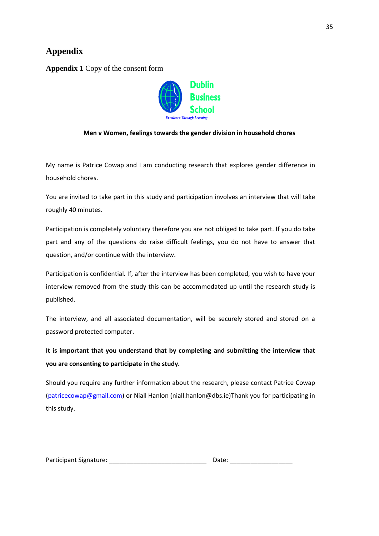## **Appendix**

**Appendix 1** Copy of the consent form



#### **Men v Women, feelings towards the gender division in household chores**

My name is Patrice Cowap and I am conducting research that explores gender difference in household chores.

You are invited to take part in this study and participation involves an interview that will take roughly 40 minutes.

Participation is completely voluntary therefore you are not obliged to take part. If you do take part and any of the questions do raise difficult feelings, you do not have to answer that question, and/or continue with the interview.

Participation is confidential. If, after the interview has been completed, you wish to have your interview removed from the study this can be accommodated up until the research study is published.

The interview, and all associated documentation, will be securely stored and stored on a password protected computer.

**It is important that you understand that by completing and submitting the interview that you are consenting to participate in the study.**

Should you require any further information about the research, please contact Patrice Cowap [\(patricecowap@gmail.com\)](mailto:patricecowap@gmail.com) or Niall Hanlon (niall.hanlon@dbs.ie)Thank you for participating in this study.

| Participant Signature: | Date: |
|------------------------|-------|
|------------------------|-------|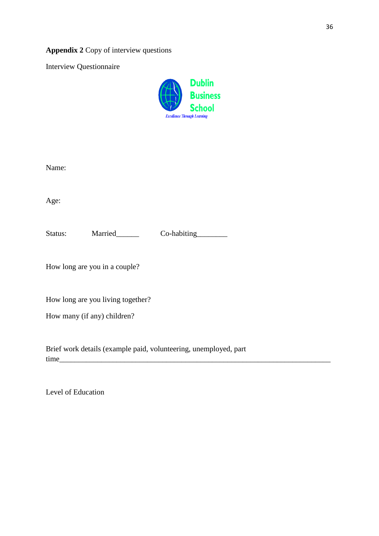**Appendix 2** Copy of interview questions

Interview Questionnaire



Name:

Age:

Status: Married\_\_\_\_\_\_ Co-habiting\_\_\_\_\_\_\_

How long are you in a couple?

How long are you living together?

How many (if any) children?

Brief work details (example paid, volunteering, unemployed, part time\_\_\_\_\_\_\_\_\_\_\_\_\_\_\_\_\_\_\_\_\_\_\_\_\_\_\_\_\_\_\_\_\_\_\_\_\_\_\_\_\_\_\_\_\_\_\_\_\_\_\_\_\_\_\_\_\_\_\_\_\_\_\_\_\_\_\_\_\_\_\_

Level of Education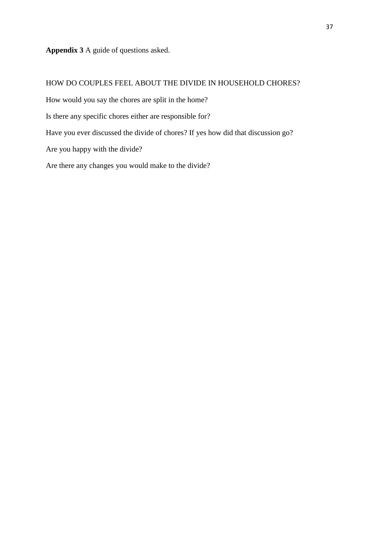**Appendix 3** A guide of questions asked.

#### HOW DO COUPLES FEEL ABOUT THE DIVIDE IN HOUSEHOLD CHORES?

How would you say the chores are split in the home? Is there any specific chores either are responsible for?

Have you ever discussed the divide of chores? If yes how did that discussion go?

Are you happy with the divide?

Are there any changes you would make to the divide?